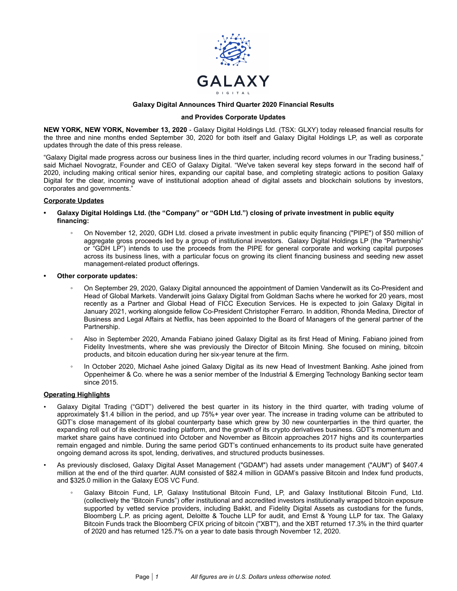

# **Galaxy Digital Announces Third Quarter 2020 Financial Results**

#### **and Provides Corporate Updates**

**NEW YORK, NEW YORK, November 13, 2020** - Galaxy Digital Holdings Ltd. (TSX: GLXY) today released financial results for the three and nine months ended September 30, 2020 for both itself and Galaxy Digital Holdings LP, as well as corporate updates through the date of this press release.

"Galaxy Digital made progress across our business lines in the third quarter, including record volumes in our Trading business," said Michael Novogratz, Founder and CEO of Galaxy Digital. "We've taken several key steps forward in the second half of 2020, including making critical senior hires, expanding our capital base, and completing strategic actions to position Galaxy Digital for the clear, incoming wave of institutional adoption ahead of digital assets and blockchain solutions by investors, corporates and governments."

### **Corporate Updates**

- **• Galaxy Digital Holdings Ltd. (the "Company" or "GDH Ltd.") closing of private investment in public equity financing:**
	- On November 12, 2020, GDH Ltd. closed a private investment in public equity financing ("PIPE") of \$50 million of aggregate gross proceeds led by a group of institutional investors. Galaxy Digital Holdings LP (the "Partnership" or "GDH LP") intends to use the proceeds from the PIPE for general corporate and working capital purposes across its business lines, with a particular focus on growing its client financing business and seeding new asset management-related product offerings.
- **• Other corporate updates:**
	- On September 29, 2020, Galaxy Digital announced the appointment of Damien Vanderwilt as its Co-President and Head of Global Markets. Vanderwilt joins Galaxy Digital from Goldman Sachs where he worked for 20 years, most recently as a Partner and Global Head of FICC Execution Services. He is expected to join Galaxy Digital in January 2021, working alongside fellow Co-President Christopher Ferraro. In addition, Rhonda Medina, Director of Business and Legal Affairs at Netflix, has been appointed to the Board of Managers of the general partner of the Partnership.
	- Also in September 2020, Amanda Fabiano joined Galaxy Digital as its first Head of Mining. Fabiano joined from Fidelity Investments, where she was previously the Director of Bitcoin Mining. She focused on mining, bitcoin products, and bitcoin education during her six-year tenure at the firm.
	- In October 2020, Michael Ashe joined Galaxy Digital as its new Head of Investment Banking. Ashe joined from Oppenheimer & Co. where he was a senior member of the Industrial & Emerging Technology Banking sector team since 2015.

# **Operating Highlights**

- Galaxy Digital Trading ("GDT") delivered the best quarter in its history in the third quarter, with trading volume of approximately \$1.4 billion in the period, and up 75%+ year over year. The increase in trading volume can be attributed to GDT's close management of its global counterparty base which grew by 30 new counterparties in the third quarter, the expanding roll out of its electronic trading platform, and the growth of its crypto derivatives business. GDT's momentum and market share gains have continued into October and November as Bitcoin approaches 2017 highs and its counterparties remain engaged and nimble. During the same period GDT's continued enhancements to its product suite have generated ongoing demand across its spot, lending, derivatives, and structured products businesses.
- As previously disclosed, Galaxy Digital Asset Management ("GDAM") had assets under management ("AUM") of \$407.4 million at the end of the third quarter. AUM consisted of \$82.4 million in GDAM's passive Bitcoin and Index fund products, and \$325.0 million in the Galaxy EOS VC Fund.
	- Galaxy Bitcoin Fund, LP, Galaxy Institutional Bitcoin Fund, LP, and Galaxy Institutional Bitcoin Fund, Ltd. (collectively the "Bitcoin Funds") offer institutional and accredited investors institutionally wrapped bitcoin exposure supported by vetted service providers, including Bakkt, and Fidelity Digital Assets as custodians for the funds, Bloomberg L.P. as pricing agent, Deloitte & Touche LLP for audit, and Ernst & Young LLP for tax. The Galaxy Bitcoin Funds track the Bloomberg CFIX pricing of bitcoin ("XBT"), and the XBT returned 17.3% in the third quarter of 2020 and has returned 125.7% on a year to date basis through November 12, 2020.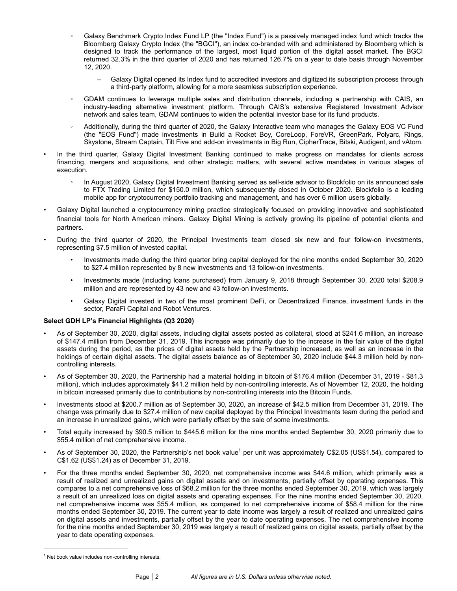- Galaxy Benchmark Crypto Index Fund LP (the "Index Fund") is a passively managed index fund which tracks the Bloomberg Galaxy Crypto Index (the "BGCI"), an index co-branded with and administered by Bloomberg which is designed to track the performance of the largest, most liquid portion of the digital asset market. The BGCI returned 32.3% in the third quarter of 2020 and has returned 126.7% on a year to date basis through November 12, 2020.
	- Galaxy Digital opened its Index fund to accredited investors and digitized its subscription process through a third-party platform, allowing for a more seamless subscription experience.
- GDAM continues to leverage multiple sales and distribution channels, including a partnership with CAIS, an industry-leading alternative investment platform. Through CAIS's extensive Registered Investment Advisor network and sales team, GDAM continues to widen the potential investor base for its fund products.
- Additionally, during the third quarter of 2020, the Galaxy Interactive team who manages the Galaxy EOS VC Fund (the "EOS Fund") made investments in Build a Rocket Boy, CoreLoop, ForeVR, GreenPark, Polyarc, Rings, Skystone, Stream Captain, Tilt Five and add-on investments in Big Run, CipherTrace, Bitski, Audigent, and vAtom.
- In the third quarter, Galaxy Digital Investment Banking continued to make progress on mandates for clients across financing, mergers and acquisitions, and other strategic matters, with several active mandates in various stages of execution.
	- In August 2020, Galaxy Digital Investment Banking served as sell-side advisor to Blockfolio on its announced sale to FTX Trading Limited for \$150.0 million, which subsequently closed in October 2020. Blockfolio is a leading mobile app for cryptocurrency portfolio tracking and management, and has over 6 million users globally.
- Galaxy Digital launched a cryptocurrency mining practice strategically focused on providing innovative and sophisticated financial tools for North American miners. Galaxy Digital Mining is actively growing its pipeline of potential clients and partners.
- During the third quarter of 2020, the Principal Investments team closed six new and four follow-on investments, representing \$7.5 million of invested capital.
	- Investments made during the third quarter bring capital deployed for the nine months ended September 30, 2020 to \$27.4 million represented by 8 new investments and 13 follow-on investments.
	- Investments made (including loans purchased) from January 9, 2018 through September 30, 2020 total \$208.9 million and are represented by 43 new and 43 follow-on investments.
	- Galaxy Digital invested in two of the most prominent DeFi, or Decentralized Finance, investment funds in the sector, ParaFi Capital and Robot Ventures.

# **Select GDH LP's Financial Highlights (Q3 2020)**

- As of September 30, 2020, digital assets, including digital assets posted as collateral, stood at \$241.6 million, an increase of \$147.4 million from December 31, 2019. This increase was primarily due to the increase in the fair value of the digital assets during the period, as the prices of digital assets held by the Partnership increased, as well as an increase in the holdings of certain digital assets. The digital assets balance as of September 30, 2020 include \$44.3 million held by noncontrolling interests.
- As of September 30, 2020, the Partnership had a material holding in bitcoin of \$176.4 million (December 31, 2019 \$81.3 million), which includes approximately \$41.2 million held by non-controlling interests. As of November 12, 2020, the holding in bitcoin increased primarily due to contributions by non-controlling interests into the Bitcoin Funds.
- Investments stood at \$200.7 million as of September 30, 2020, an increase of \$42.5 million from December 31, 2019. The change was primarily due to \$27.4 million of new capital deployed by the Principal Investments team during the period and an increase in unrealized gains, which were partially offset by the sale of some investments.
- Total equity increased by \$90.5 million to \$445.6 million for the nine months ended September 30, 2020 primarily due to \$55.4 million of net comprehensive income.
- As of September 30, 2020, the Partnership's net book value<sup>1</sup> per unit was approximately C\$2.05 (US\$1.54), compared to C\$1.62 (US\$1.24) as of December 31, 2019.
- For the three months ended September 30, 2020, net comprehensive income was \$44.6 million, which primarily was a result of realized and unrealized gains on digital assets and on investments, partially offset by operating expenses. This compares to a net comprehensive loss of \$68.2 million for the three months ended September 30, 2019, which was largely a result of an unrealized loss on digital assets and operating expenses. For the nine months ended September 30, 2020, net comprehensive income was \$55.4 million, as compared to net comprehensive income of \$58.4 million for the nine months ended September 30, 2019. The current year to date income was largely a result of realized and unrealized gains on digital assets and investments, partially offset by the year to date operating expenses. The net comprehensive income for the nine months ended September 30, 2019 was largely a result of realized gains on digital assets, partially offset by the year to date operating expenses.

 $\mathcal{L}_\text{max}$  and  $\mathcal{L}_\text{max}$  and  $\mathcal{L}_\text{max}$  and  $\mathcal{L}_\text{max}$ 

<sup>&</sup>lt;sup>1</sup> Net book value includes non-controlling interests.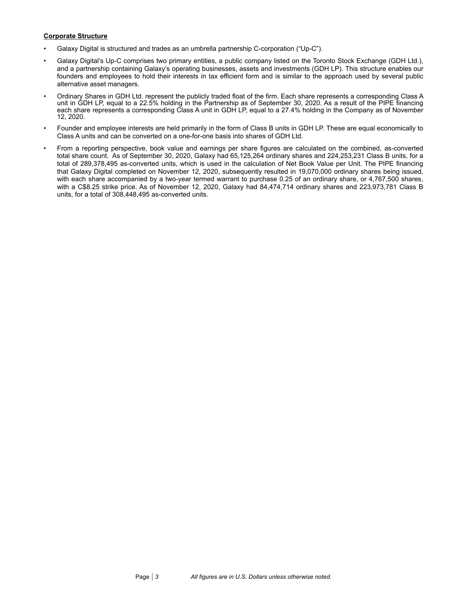# **Corporate Structure**

- Galaxy Digital is structured and trades as an umbrella partnership C-corporation ("Up-C").
- Galaxy Digital's Up-C comprises two primary entities, a public company listed on the Toronto Stock Exchange (GDH Ltd.), and a partnership containing Galaxy's operating businesses, assets and investments (GDH LP). This structure enables our founders and employees to hold their interests in tax efficient form and is similar to the approach used by several public alternative asset managers.
- Ordinary Shares in GDH Ltd. represent the publicly traded float of the firm. Each share represents a corresponding Class A unit in GDH LP, equal to a 22.5% holding in the Partnership as of September 30, 2020. As a result of the PIPE financing each share represents a corresponding Class A unit in GDH LP, equal to a 27.4% holding in the Company as of November 12, 2020.
- Founder and employee interests are held primarily in the form of Class B units in GDH LP. These are equal economically to Class A units and can be converted on a one-for-one basis into shares of GDH Ltd.
- From a reporting perspective, book value and earnings per share figures are calculated on the combined, as-converted total share count. As of September 30, 2020, Galaxy had 65,125,264 ordinary shares and 224,253,231 Class B units, for a total of 289,378,495 as-converted units, which is used in the calculation of Net Book Value per Unit. The PIPE financing that Galaxy Digital completed on November 12, 2020, subsequently resulted in 19,070,000 ordinary shares being issued, with each share accompanied by a two-year termed warrant to purchase 0.25 of an ordinary share, or 4,767,500 shares, with a C\$8.25 strike price. As of November 12, 2020, Galaxy had 84,474,714 ordinary shares and 223,973,781 Class B units, for a total of 308,448,495 as-converted units.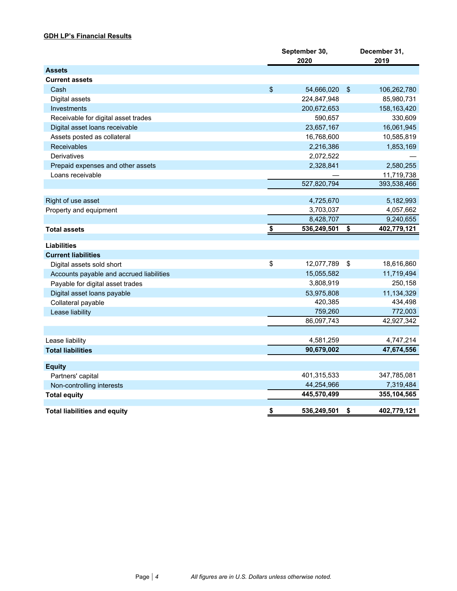# **GDH LP's Financial Results**

|                                          | September 30,<br>2020 |            | December 31,<br>2019 |
|------------------------------------------|-----------------------|------------|----------------------|
| <b>Assets</b>                            |                       |            |                      |
| <b>Current assets</b>                    |                       |            |                      |
| Cash                                     | \$<br>54,666,020      | $\sqrt{2}$ | 106,262,780          |
| Digital assets                           | 224,847,948           |            | 85,980,731           |
| Investments                              | 200,672,653           |            | 158,163,420          |
| Receivable for digital asset trades      | 590,657               |            | 330,609              |
| Digital asset loans receivable           | 23,657,167            |            | 16,061,945           |
| Assets posted as collateral              | 16,768,600            |            | 10,585,819           |
| <b>Receivables</b>                       | 2,216,386             |            | 1,853,169            |
| Derivatives                              | 2,072,522             |            |                      |
| Prepaid expenses and other assets        | 2,328,841             |            | 2,580,255            |
| Loans receivable                         |                       |            | 11,719,738           |
|                                          | 527,820,794           |            | 393,538,466          |
|                                          |                       |            |                      |
| Right of use asset                       | 4,725,670             |            | 5,182,993            |
| Property and equipment                   | 3,703,037             |            | 4,057,662            |
|                                          | 8,428,707             |            | 9,240,655            |
| <b>Total assets</b>                      | \$<br>536,249,501     | \$         | 402,779,121          |
| <b>Liabilities</b>                       |                       |            |                      |
| <b>Current liabilities</b>               |                       |            |                      |
| Digital assets sold short                | \$<br>12,077,789      | \$         | 18,616,860           |
| Accounts payable and accrued liabilities | 15,055,582            |            | 11,719,494           |
| Payable for digital asset trades         | 3,808,919             |            | 250,158              |
| Digital asset loans payable              | 53,975,808            |            | 11,134,329           |
| Collateral payable                       | 420,385               |            | 434,498              |
| Lease liability                          | 759,260               |            | 772,003              |
|                                          | 86,097,743            |            | 42,927,342           |
|                                          |                       |            |                      |
| Lease liability                          | 4,581,259             |            | 4,747,214            |
| <b>Total liabilities</b>                 | 90,679,002            |            | 47,674,556           |
|                                          |                       |            |                      |
| <b>Equity</b>                            |                       |            |                      |
| Partners' capital                        | 401,315,533           |            | 347,785,081          |
| Non-controlling interests                | 44,254,966            |            | 7,319,484            |
| <b>Total equity</b>                      | 445,570,499           |            | 355,104,565          |
| <b>Total liabilities and equity</b>      | \$<br>536,249,501     | \$         | 402,779,121          |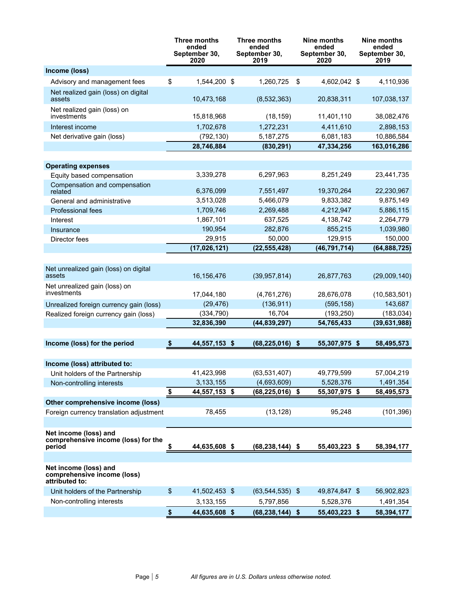|                                                                        |               | Three months<br>ended<br>September 30,<br>2020 | Three months<br>ended<br>September 30,<br>2019 | Nine months<br>ended<br>September 30,<br>2020 | Nine months<br>ended<br>September 30,<br>2019 |
|------------------------------------------------------------------------|---------------|------------------------------------------------|------------------------------------------------|-----------------------------------------------|-----------------------------------------------|
| Income (loss)                                                          |               |                                                |                                                |                                               |                                               |
| Advisory and management fees                                           | \$            | 1,544,200 \$                                   | 1,260,725                                      | \$<br>4,602,042 \$                            | 4,110,936                                     |
| Net realized gain (loss) on digital<br>assets                          |               | 10,473,168                                     | (8,532,363)                                    | 20,838,311                                    | 107,038,137                                   |
| Net realized gain (loss) on<br>investments                             |               | 15,818,968                                     | (18, 159)                                      | 11,401,110                                    | 38,082,476                                    |
| Interest income                                                        |               | 1,702,678                                      | 1,272,231                                      | 4,411,610                                     | 2,898,153                                     |
| Net derivative gain (loss)                                             |               | (792, 130)                                     | 5,187,275                                      | 6,081,183                                     | 10,886,584                                    |
|                                                                        |               | 28,746,884                                     | (830, 291)                                     | 47,334,256                                    | 163,016,286                                   |
|                                                                        |               |                                                |                                                |                                               |                                               |
| <b>Operating expenses</b>                                              |               |                                                |                                                |                                               |                                               |
| Equity based compensation                                              |               | 3,339,278                                      | 6,297,963                                      | 8,251,249                                     | 23,441,735                                    |
| Compensation and compensation<br>related                               |               | 6,376,099                                      | 7,551,497                                      | 19,370,264                                    | 22,230,967                                    |
| General and administrative                                             |               | 3,513,028                                      | 5,466,079                                      | 9,833,382                                     | 9,875,149                                     |
| Professional fees                                                      |               | 1,709,746                                      | 2,269,488                                      | 4,212,947                                     | 5,886,115                                     |
| Interest                                                               |               | 1,867,101                                      | 637,525                                        | 4,138,742                                     | 2,264,779                                     |
| Insurance                                                              |               | 190,954                                        | 282,876                                        | 855,215                                       | 1,039,980                                     |
| Director fees                                                          |               | 29,915                                         | 50,000                                         | 129,915                                       | 150,000                                       |
|                                                                        |               | (17, 026, 121)                                 | (22, 555, 428)                                 | (46, 791, 714)                                | (64, 888, 725)                                |
|                                                                        |               |                                                |                                                |                                               |                                               |
| Net unrealized gain (loss) on digital<br>assets                        |               | 16,156,476                                     | (39, 957, 814)                                 | 26,877,763                                    | (29,009,140)                                  |
| Net unrealized gain (loss) on<br>investments                           |               | 17,044,180                                     | (4,761,276)                                    | 28,676,078                                    | (10, 583, 501)                                |
| Unrealized foreign currency gain (loss)                                |               | (29, 476)                                      | (136, 911)                                     | (595, 158)                                    | 143,687                                       |
| Realized foreign currency gain (loss)                                  |               | (334, 790)                                     | 16,704                                         | (193, 250)                                    | (183, 034)                                    |
|                                                                        |               | 32,836,390                                     | (44, 839, 297)                                 | 54,765,433                                    | (39, 631, 988)                                |
| Income (loss) for the period                                           | \$            | 44,557,153 \$                                  | (68, 225, 016)                                 | \$<br>55,307,975 \$                           | 58,495,573                                    |
|                                                                        |               |                                                |                                                |                                               |                                               |
| Income (loss) attributed to:                                           |               |                                                |                                                |                                               |                                               |
| Unit holders of the Partnership                                        |               | 41,423,998                                     | (63, 531, 407)                                 | 49,779,599                                    | 57,004,219                                    |
| Non-controlling interests                                              |               | 3,133,155                                      | (4,693,609)                                    | 5,528,376                                     | 1,491,354                                     |
|                                                                        | \$            | 44,557,153 \$                                  | (68,225,016)                                   | \$<br>55,307,975 \$                           | 58,495,573                                    |
| Other comprehensive income (loss)                                      |               |                                                |                                                |                                               |                                               |
| Foreign currency translation adjustment                                |               | 78,455                                         | (13, 128)                                      | 95,248                                        | (101, 396)                                    |
|                                                                        |               |                                                |                                                |                                               |                                               |
| Net income (loss) and<br>comprehensive income (loss) for the           |               |                                                |                                                |                                               |                                               |
| period                                                                 | \$            | 44,635,608 \$                                  | $(68, 238, 144)$ \$                            | 55,403,223 \$                                 | 58,394,177                                    |
|                                                                        |               |                                                |                                                |                                               |                                               |
| Net income (loss) and<br>comprehensive income (loss)<br>attributed to: |               |                                                |                                                |                                               |                                               |
| Unit holders of the Partnership                                        | $\frac{1}{2}$ | 41,502,453 \$                                  | $(63, 544, 535)$ \$                            | 49,874,847 \$                                 | 56,902,823                                    |
| Non-controlling interests                                              |               | 3,133,155                                      | 5,797,856                                      | 5,528,376                                     | 1,491,354                                     |
|                                                                        | \$            | 44,635,608 \$                                  | (68,238,144)                                   | \$<br>55,403,223 \$                           | 58,394,177                                    |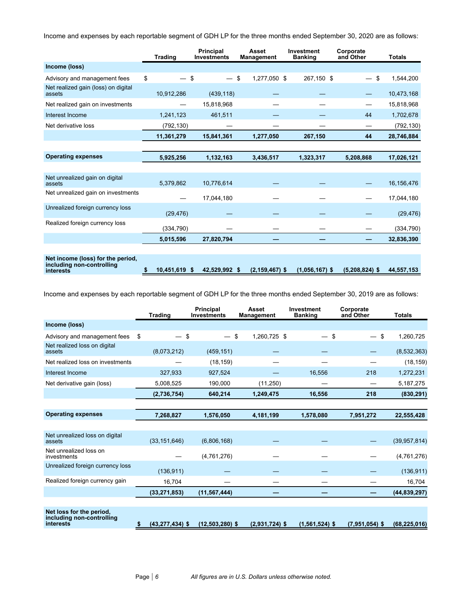Income and expenses by each reportable segment of GDH LP for the three months ended September 30, 2020 are as follows:

|                                                                             | <b>Trading</b>      | <b>Principal</b><br><b>Investments</b> |    | Asset<br>Management |  | <b>Investment</b><br><b>Banking</b> |  | Corporate<br>and Other | <b>Totals</b> |
|-----------------------------------------------------------------------------|---------------------|----------------------------------------|----|---------------------|--|-------------------------------------|--|------------------------|---------------|
| Income (loss)                                                               |                     |                                        |    |                     |  |                                     |  |                        |               |
| Advisory and management fees                                                | \$<br>\$            | $\overbrace{\phantom{aaaaa}}^{}$       | \$ | 1,277,050 \$        |  | 267,150 \$                          |  | \$                     | 1,544,200     |
| Net realized gain (loss) on digital<br>assets                               | 10,912,286          | (439, 118)                             |    |                     |  |                                     |  |                        | 10,473,168    |
| Net realized gain on investments                                            |                     | 15,818,968                             |    |                     |  |                                     |  |                        | 15,818,968    |
| Interest Income                                                             | 1,241,123           | 461,511                                |    |                     |  |                                     |  | 44                     | 1,702,678     |
| Net derivative loss                                                         | (792, 130)          |                                        |    |                     |  |                                     |  |                        | (792, 130)    |
|                                                                             | 11,361,279          | 15,841,361                             |    | 1,277,050           |  | 267,150                             |  | 44                     | 28,746,884    |
|                                                                             |                     |                                        |    |                     |  |                                     |  |                        |               |
| <b>Operating expenses</b>                                                   | 5,925,256           | 1,132,163                              |    | 3,436,517           |  | 1,323,317                           |  | 5,208,868              | 17,026,121    |
|                                                                             |                     |                                        |    |                     |  |                                     |  |                        |               |
| Net unrealized gain on digital<br>assets                                    | 5,379,862           | 10,776,614                             |    |                     |  |                                     |  |                        | 16,156,476    |
| Net unrealized gain on investments                                          |                     | 17,044,180                             |    |                     |  |                                     |  |                        | 17,044,180    |
| Unrealized foreign currency loss                                            | (29, 476)           |                                        |    |                     |  |                                     |  |                        | (29, 476)     |
| Realized foreign currency loss                                              | (334,790)           |                                        |    |                     |  |                                     |  |                        | (334, 790)    |
|                                                                             | 5,015,596           | 27,820,794                             |    |                     |  |                                     |  |                        | 32,836,390    |
|                                                                             |                     |                                        |    |                     |  |                                     |  |                        |               |
| Net income (loss) for the period,<br>including non-controlling<br>interests | \$<br>10,451,619 \$ | 42,529,992 \$                          |    | $(2, 159, 467)$ \$  |  | $(1,056,167)$ \$                    |  | $(5,208,824)$ \$       | 44,557,153    |

Income and expenses by each reportable segment of GDH LP for the three months ended September 30, 2019 are as follows:

|                                                                    | <b>Trading</b>            | <b>Principal</b><br><b>Investments</b> | Asset<br><b>Management</b> | Investment<br><b>Banking</b> |                  | Corporate<br>and Other | <b>Totals</b>   |
|--------------------------------------------------------------------|---------------------------|----------------------------------------|----------------------------|------------------------------|------------------|------------------------|-----------------|
| Income (loss)                                                      |                           |                                        |                            |                              |                  |                        |                 |
| Advisory and management fees                                       | \$<br>\$                  |                                        | \$<br>1.260.725 \$         |                              | \$<br>—          |                        | \$<br>1,260,725 |
| Net realized loss on digital<br>assets                             | (8,073,212)               | (459, 151)                             |                            |                              |                  |                        | (8,532,363)     |
| Net realized loss on investments                                   |                           | (18, 159)                              |                            |                              |                  |                        | (18, 159)       |
| Interest Income                                                    | 327,933                   | 927.524                                |                            |                              | 16,556           | 218                    | 1,272,231       |
| Net derivative gain (loss)                                         | 5,008,525                 | 190,000                                | (11, 250)                  |                              |                  |                        | 5,187,275       |
|                                                                    | (2,736,754)               | 640,214                                | 1,249,475                  |                              | 16,556           | 218                    | (830, 291)      |
|                                                                    |                           |                                        |                            |                              |                  |                        |                 |
| <b>Operating expenses</b>                                          | 7,268,827                 | 1,576,050                              | 4,181,199                  | 1,578,080                    |                  | 7,951,272              | 22,555,428      |
|                                                                    |                           |                                        |                            |                              |                  |                        |                 |
| Net unrealized loss on digital<br>assets                           | (33, 151, 646)            | (6,806,168)                            |                            |                              |                  |                        | (39, 957, 814)  |
| Net unrealized loss on<br>investments                              |                           | (4,761,276)                            |                            |                              |                  |                        | (4,761,276)     |
| Unrealized foreign currency loss                                   | (136, 911)                |                                        |                            |                              |                  |                        | (136, 911)      |
| Realized foreign currency gain                                     | 16,704                    |                                        |                            |                              |                  |                        | 16,704          |
|                                                                    | (33, 271, 853)            | (11, 567, 444)                         |                            |                              |                  |                        | (44, 839, 297)  |
|                                                                    |                           |                                        |                            |                              |                  |                        |                 |
| Net loss for the period,<br>including non-controlling<br>interests | \$<br>$(43, 277, 434)$ \$ | $(12.503.280)$ \$                      | $(2,931,724)$ \$           |                              | $(1,561,524)$ \$ | $(7,951,054)$ \$       | (68.225.016)    |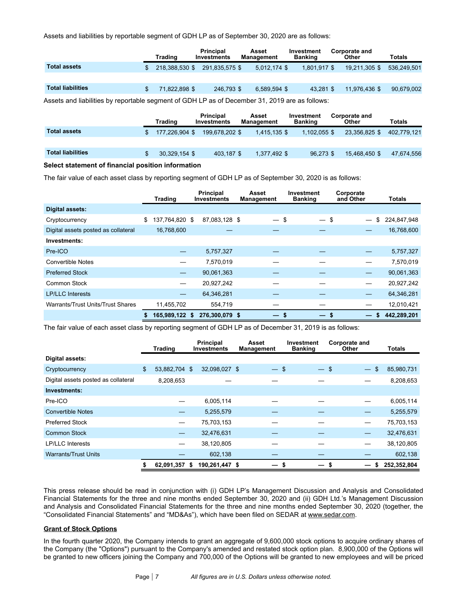Assets and liabilities by reportable segment of GDH LP as of September 30, 2020 are as follows:

|                                                                                               |  | <b>Trading</b> | <b>Principal</b><br>Investments | Asset<br>Management | Investment<br>Banking | Corporate and<br>Other | Totals      |  |  |
|-----------------------------------------------------------------------------------------------|--|----------------|---------------------------------|---------------------|-----------------------|------------------------|-------------|--|--|
| Total assets                                                                                  |  | 218.388.530 \$ | 291.835.575 \$                  | 5,012,174 \$        | $1,801,917$ \$        | 19,211,305 \$          | 536.249.501 |  |  |
|                                                                                               |  |                |                                 |                     |                       |                        |             |  |  |
| <b>Total liabilities</b>                                                                      |  | 71,822,898 \$  | 246.793 \$                      | 6.589.594 \$        | 43.281 \$             | 11.976.436 \$          | 90,679,002  |  |  |
| Appart and lighilities by repertable cognect of CDULE as of December 24, 2010 are as follower |  |                |                                 |                     |                       |                        |             |  |  |

Assets and liabilities by reportable segment of GDH LP as of December 31, 2019 are as follows:

| Totals                                                                 |
|------------------------------------------------------------------------|
| 402.779.121                                                            |
|                                                                        |
| 47.674.556                                                             |
| Other<br>23.356.825 \$<br>1,102,055 \$<br>$96.273$ \$<br>15.468.450 \$ |

#### **Select statement of financial position information**

The fair value of each asset class by reporting segment of GDH LP as of September 30, 2020 is as follows:

|                                     | Trading                  | Principal<br><b>Investments</b> | Asset<br><b>Management</b> | <b>Investment</b><br><b>Banking</b> | Corporate<br>and Other   | Totals      |
|-------------------------------------|--------------------------|---------------------------------|----------------------------|-------------------------------------|--------------------------|-------------|
| <b>Digital assets:</b>              |                          |                                 |                            |                                     |                          |             |
| Cryptocurrency                      | \$<br>137.764.820 \$     | 87,083,128 \$                   | $-$ \$                     | $-$ \$                              | \$                       | 224,847,948 |
| Digital assets posted as collateral | 16,768,600               |                                 |                            |                                     |                          | 16,768,600  |
| Investments:                        |                          |                                 |                            |                                     |                          |             |
| Pre-ICO                             |                          | 5,757,327                       |                            |                                     |                          | 5,757,327   |
| <b>Convertible Notes</b>            |                          | 7,570,019                       |                            |                                     |                          | 7,570,019   |
| <b>Preferred Stock</b>              | $\overline{\phantom{0}}$ | 90,061,363                      |                            |                                     |                          | 90,061,363  |
| Common Stock                        |                          | 20,927,242                      |                            |                                     |                          | 20,927,242  |
| <b>LP/LLC</b> Interests             |                          | 64,346,281                      |                            |                                     | $\overline{\phantom{0}}$ | 64,346,281  |
| Warrants/Trust Units/Trust Shares   | 11,455,702               | 554,719                         |                            |                                     |                          | 12,010,421  |
|                                     | 165,989,122 \$           | 276,300,079 \$                  | –                          | $-s$<br>-S                          |                          | 442,289,201 |

The fair value of each asset class by reporting segment of GDH LP as of December 31, 2019 is as follows:

|                                     | <b>Trading</b>           |    | <b>Principal</b><br><b>Investments</b> | Asset<br><b>Management</b> | Investment<br><b>Banking</b> |        | Corporate and<br>Other |                                           | <b>Totals</b> |
|-------------------------------------|--------------------------|----|----------------------------------------|----------------------------|------------------------------|--------|------------------------|-------------------------------------------|---------------|
| Digital assets:                     |                          |    |                                        |                            |                              |        |                        |                                           |               |
| Cryptocurrency                      | \$<br>53,882,704 \$      |    | 32,098,027 \$                          | $-$ \$                     |                              | $-$ \$ |                        | $\mathbf{\$}$<br>$\overline{\phantom{m}}$ | 85,980,731    |
| Digital assets posted as collateral | 8,208,653                |    |                                        |                            |                              |        |                        |                                           | 8,208,653     |
| Investments:                        |                          |    |                                        |                            |                              |        |                        |                                           |               |
| Pre-ICO                             |                          |    | 6,005,114                              |                            |                              |        |                        |                                           | 6,005,114     |
| <b>Convertible Notes</b>            | —                        |    | 5,255,579                              |                            |                              |        |                        |                                           | 5,255,579     |
| <b>Preferred Stock</b>              | $\overline{\phantom{0}}$ |    | 75,703,153                             |                            |                              |        |                        | $\overline{\phantom{0}}$                  | 75,703,153    |
| <b>Common Stock</b>                 | —                        |    | 32,476,631                             |                            |                              |        |                        |                                           | 32,476,631    |
| <b>LP/LLC</b> Interests             | —                        |    | 38,120,805                             |                            |                              |        |                        | —                                         | 38,120,805    |
| <b>Warrants/Trust Units</b>         |                          |    | 602,138                                |                            |                              |        |                        |                                           | 602,138       |
|                                     | 62,091,357               | S. | 190,261,447 \$                         | -                          | \$                           | — \$   |                        | —                                         | 252,352,804   |

This press release should be read in conjunction with (i) GDH LP's Management Discussion and Analysis and Consolidated Financial Statements for the three and nine months ended September 30, 2020 and (ii) GDH Ltd.'s Management Discussion and Analysis and Consolidated Financial Statements for the three and nine months ended September 30, 2020 (together, the "Consolidated Financial Statements" and "MD&As"), which have been filed on SEDAR at www.sedar.com.

### **Grant of Stock Options**

In the fourth quarter 2020, the Company intends to grant an aggregate of 9,600,000 stock options to acquire ordinary shares of the Company (the "Options") pursuant to the Company's amended and restated stock option plan. 8,900,000 of the Options will be granted to new officers joining the Company and 700,000 of the Options will be granted to new employees and will be priced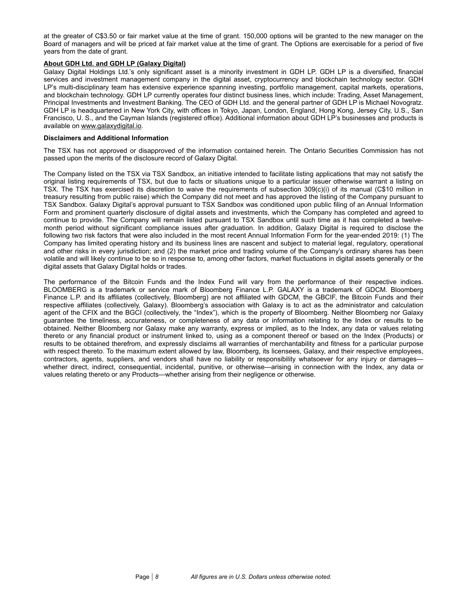at the greater of C\$3.50 or fair market value at the time of grant. 150,000 options will be granted to the new manager on the Board of managers and will be priced at fair market value at the time of grant. The Options are exercisable for a period of five years from the date of grant.

# **About GDH Ltd. and GDH LP (Galaxy Digital)**

Galaxy Digital Holdings Ltd.'s only significant asset is a minority investment in GDH LP. GDH LP is a diversified, financial services and investment management company in the digital asset, cryptocurrency and blockchain technology sector. GDH LP's multi-disciplinary team has extensive experience spanning investing, portfolio management, capital markets, operations, and blockchain technology. GDH LP currently operates four distinct business lines, which include: Trading, Asset Management, Principal Investments and Investment Banking. The CEO of GDH Ltd. and the general partner of GDH LP is Michael Novogratz. GDH LP is headquartered in New York City, with offices in Tokyo, Japan, London, England, Hong Kong, Jersey City, U.S., San Francisco, U. S., and the Cayman Islands (registered office). Additional information about GDH LP's businesses and products is available on www.galaxydigital.io.

# **Disclaimers and Additional Information**

The TSX has not approved or disapproved of the information contained herein. The Ontario Securities Commission has not passed upon the merits of the disclosure record of Galaxy Digital.

The Company listed on the TSX via TSX Sandbox, an initiative intended to facilitate listing applications that may not satisfy the original listing requirements of TSX, but due to facts or situations unique to a particular issuer otherwise warrant a listing on TSX. The TSX has exercised its discretion to waive the requirements of subsection 309(c)(i) of its manual (C\$10 million in treasury resulting from public raise) which the Company did not meet and has approved the listing of the Company pursuant to TSX Sandbox. Galaxy Digital's approval pursuant to TSX Sandbox was conditioned upon public filing of an Annual Information Form and prominent quarterly disclosure of digital assets and investments, which the Company has completed and agreed to continue to provide. The Company will remain listed pursuant to TSX Sandbox until such time as it has completed a twelvemonth period without significant compliance issues after graduation. In addition, Galaxy Digital is required to disclose the following two risk factors that were also included in the most recent Annual Information Form for the year-ended 2019: (1) The Company has limited operating history and its business lines are nascent and subject to material legal, regulatory, operational and other risks in every jurisdiction; and (2) the market price and trading volume of the Company's ordinary shares has been volatile and will likely continue to be so in response to, among other factors, market fluctuations in digital assets generally or the digital assets that Galaxy Digital holds or trades.

The performance of the Bitcoin Funds and the Index Fund will vary from the performance of their respective indices. BLOOMBERG is a trademark or service mark of Bloomberg Finance L.P. GALAXY is a trademark of GDCM. Bloomberg Finance L.P. and its affiliates (collectively, Bloomberg) are not affiliated with GDCM, the GBCIF, the Bitcoin Funds and their respective affiliates (collectively, Galaxy). Bloomberg's association with Galaxy is to act as the administrator and calculation agent of the CFIX and the BGCI (collectively, the "Index"), which is the property of Bloomberg. Neither Bloomberg nor Galaxy guarantee the timeliness, accurateness, or completeness of any data or information relating to the Index or results to be obtained. Neither Bloomberg nor Galaxy make any warranty, express or implied, as to the Index, any data or values relating thereto or any financial product or instrument linked to, using as a component thereof or based on the Index (Products) or results to be obtained therefrom, and expressly disclaims all warranties of merchantability and fitness for a particular purpose with respect thereto. To the maximum extent allowed by law, Bloomberg, its licensees, Galaxy, and their respective employees, contractors, agents, suppliers, and vendors shall have no liability or responsibility whatsoever for any injury or damages whether direct, indirect, consequential, incidental, punitive, or otherwise—arising in connection with the Index, any data or values relating thereto or any Products—whether arising from their negligence or otherwise.